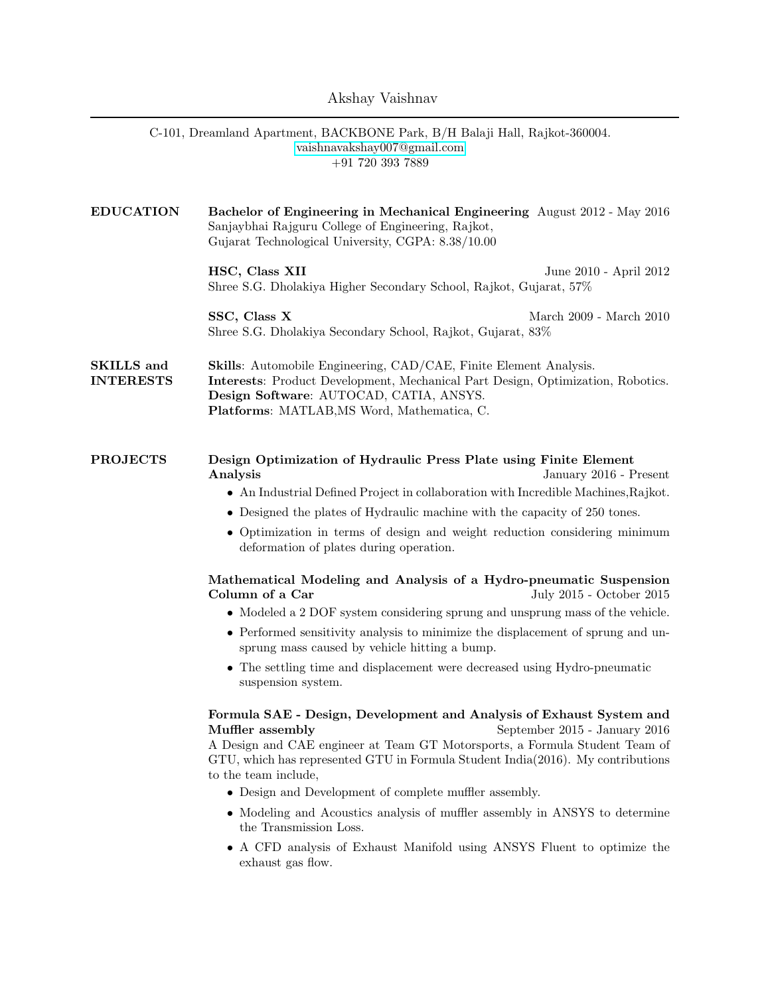## Akshay Vaishnav

|                                       | C-101, Dreamland Apartment, BACKBONE Park, B/H Balaji Hall, Rajkot-360004.<br>vaishnavakshay007@gmail.com<br>$+91$ 720 393 7889                                                                                                                                                                                                              |                                                                                                      |
|---------------------------------------|----------------------------------------------------------------------------------------------------------------------------------------------------------------------------------------------------------------------------------------------------------------------------------------------------------------------------------------------|------------------------------------------------------------------------------------------------------|
| <b>EDUCATION</b>                      | Bachelor of Engineering in Mechanical Engineering August 2012 - May 2016<br>Sanjaybhai Rajguru College of Engineering, Rajkot,<br>Gujarat Technological University, CGPA: 8.38/10.00                                                                                                                                                         |                                                                                                      |
|                                       | HSC, Class XII<br>Shree S.G. Dholakiya Higher Secondary School, Rajkot, Gujarat, 57%                                                                                                                                                                                                                                                         | June 2010 - April 2012                                                                               |
|                                       | SSC, Class X<br>Shree S.G. Dholakiya Secondary School, Rajkot, Gujarat, 83%                                                                                                                                                                                                                                                                  | March 2009 - March 2010                                                                              |
| <b>SKILLS</b> and<br><b>INTERESTS</b> | <b>Skills:</b> Automobile Engineering, CAD/CAE, Finite Element Analysis.<br>Interests: Product Development, Mechanical Part Design, Optimization, Robotics.<br>Design Software: AUTOCAD, CATIA, ANSYS.<br>Platforms: MATLAB, MS Word, Mathematica, C.                                                                                        |                                                                                                      |
| <b>PROJECTS</b>                       | Design Optimization of Hydraulic Press Plate using Finite Element<br>Analysis<br>• An Industrial Defined Project in collaboration with Incredible Machines, Rajkot.<br>• Designed the plates of Hydraulic machine with the capacity of 250 tones.<br>deformation of plates during operation.                                                 | January 2016 - Present<br>• Optimization in terms of design and weight reduction considering minimum |
|                                       | Mathematical Modeling and Analysis of a Hydro-pneumatic Suspension<br>Column of a Car                                                                                                                                                                                                                                                        | July 2015 - October 2015                                                                             |
|                                       | • Modeled a 2 DOF system considering sprung and unsprung mass of the vehicle.<br>• Performed sensitivity analysis to minimize the displacement of sprung and un-<br>sprung mass caused by vehicle hitting a bump.                                                                                                                            |                                                                                                      |
|                                       | • The settling time and displacement were decreased using Hydro-pneumatic<br>suspension system.                                                                                                                                                                                                                                              |                                                                                                      |
|                                       | Formula SAE - Design, Development and Analysis of Exhaust System and<br>Muffler assembly<br>A Design and CAE engineer at Team GT Motorsports, a Formula Student Team of<br>GTU, which has represented GTU in Formula Student India(2016). My contributions<br>to the team include,<br>• Design and Development of complete muffler assembly. | September 2015 - January 2016                                                                        |
|                                       | • Modeling and Acoustics analysis of muffler assembly in ANSYS to determine<br>the Transmission Loss.                                                                                                                                                                                                                                        |                                                                                                      |
|                                       | exhaust gas flow.                                                                                                                                                                                                                                                                                                                            | A CFD analysis of Exhaust Manifold using ANSYS Fluent to optimize the                                |